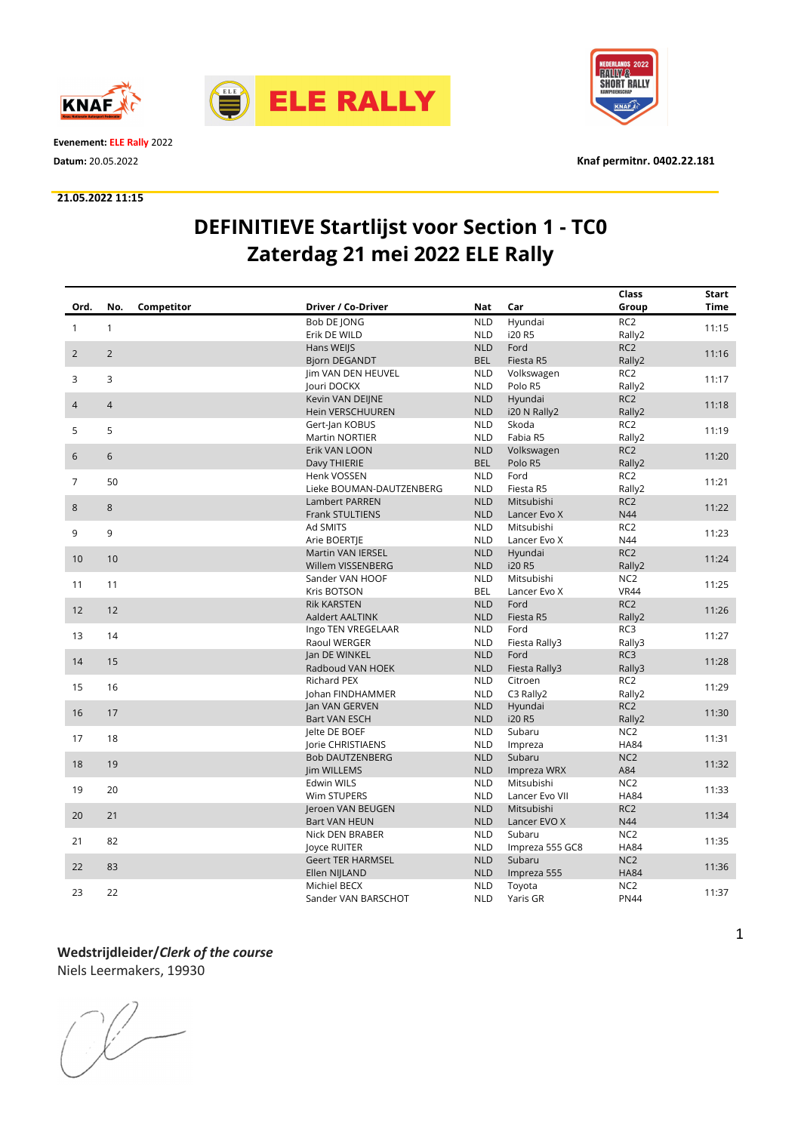



Evenement: ELE Rally 2022

#### 21.05.2022 11:15



Datum: 20.05.2022 Knaf permitnr. 0402.22.181

## DEFINITIEVE Startlijst voor Section 1 - TC0 Zaterdag 21 mei 2022 ELE Rally

|                |                   |                          |            |                 | Class           | Start       |
|----------------|-------------------|--------------------------|------------|-----------------|-----------------|-------------|
| Ord.           | Competitor<br>No. | Driver / Co-Driver       | Nat        | Car             | Group           | <b>Time</b> |
|                |                   | Bob DE JONG              | <b>NLD</b> | Hyundai         | RC <sub>2</sub> |             |
| $\mathbf{1}$   | $\mathbf{1}$      | Erik DE WILD             | <b>NLD</b> | i20 R5          | Rally2          | 11:15       |
| $\overline{2}$ | $\overline{2}$    | Hans WEIJS               | <b>NLD</b> | Ford            | RC <sub>2</sub> | 11:16       |
|                |                   | <b>Bjorn DEGANDT</b>     | <b>BEL</b> | Fiesta R5       | Rally2          |             |
| 3              | 3                 | <b>Im VAN DEN HEUVEL</b> | <b>NLD</b> | Volkswagen      | RC <sub>2</sub> | 11:17       |
|                |                   | Jouri DOCKX              | <b>NLD</b> | Polo R5         | Rally2          |             |
| $\overline{4}$ | $\overline{4}$    | Kevin VAN DEIJNE         | <b>NLD</b> | Hyundai         | RC <sub>2</sub> | 11:18       |
|                |                   | <b>Hein VERSCHUUREN</b>  | <b>NLD</b> | i20 N Rally2    | Rally2          |             |
| 5              | 5                 | Gert-Jan KOBUS           | <b>NLD</b> | Skoda           | RC <sub>2</sub> | 11:19       |
|                |                   | <b>Martin NORTIER</b>    | <b>NLD</b> | Fabia R5        | Rally2          |             |
| $6\phantom{1}$ | 6                 | Erik VAN LOON            | <b>NLD</b> | Volkswagen      | RC <sub>2</sub> | 11:20       |
|                |                   | Davy THIERIE             | <b>BEL</b> | Polo R5         | Rally2          |             |
| $\overline{7}$ | 50                | Henk VOSSEN              | <b>NLD</b> | Ford            | RC <sub>2</sub> | 11:21       |
|                |                   | Lieke BOUMAN-DAUTZENBERG | <b>NLD</b> | Fiesta R5       | Rally2          |             |
| $\,8\,$        | 8                 | <b>Lambert PARREN</b>    | <b>NLD</b> | Mitsubishi      | RC <sub>2</sub> | 11:22       |
|                |                   | Frank STULTIENS          | <b>NLD</b> | Lancer Evo X    | N44             |             |
| 9              | 9                 | Ad SMITS                 | <b>NLD</b> | Mitsubishi      | RC <sub>2</sub> | 11:23       |
|                |                   | Arie BOERTJE             | <b>NLD</b> | Lancer Evo X    | N44             |             |
| 10             | 10                | <b>Martin VAN IERSEL</b> | <b>NLD</b> | Hyundai         | RC <sub>2</sub> | 11:24       |
|                |                   | Willem VISSENBERG        | <b>NLD</b> | i20 R5          | Rally2          |             |
| 11             | 11                | Sander VAN HOOF          | <b>NLD</b> | Mitsubishi      | NC <sub>2</sub> | 11:25       |
|                |                   | Kris BOTSON              | <b>BEL</b> | Lancer Evo X    | <b>VR44</b>     |             |
| 12             | 12                | <b>Rik KARSTEN</b>       | <b>NLD</b> | Ford            | RC <sub>2</sub> | 11:26       |
|                |                   | Aaldert AALTINK          | <b>NLD</b> | Fiesta R5       | Rally2          |             |
| 13             | 14                | Ingo TEN VREGELAAR       | <b>NLD</b> | Ford            | RC3             | 11:27       |
|                |                   | Raoul WERGER             | <b>NLD</b> | Fiesta Rally3   | Rally3          |             |
| 14             | 15                | Jan DE WINKEL            | <b>NLD</b> | Ford            | RC3             | 11:28       |
|                |                   | Radboud VAN HOEK         | <b>NLD</b> | Fiesta Rally3   | Rally3          |             |
| 15             | 16                | <b>Richard PEX</b>       | <b>NLD</b> | Citroen         | RC <sub>2</sub> | 11:29       |
|                |                   | Johan FINDHAMMER         | <b>NLD</b> | C3 Rally2       | Rally2          |             |
| 16             | 17                | Jan VAN GERVEN           | <b>NLD</b> | Hyundai         | RC <sub>2</sub> | 11:30       |
|                |                   | <b>Bart VAN ESCH</b>     | <b>NLD</b> | i20 R5          | Rally2          |             |
| 17             | 18                | Jelte DE BOEF            | <b>NLD</b> | Subaru          | NC <sub>2</sub> | 11:31       |
|                |                   | Jorie CHRISTIAENS        | <b>NLD</b> | Impreza         | <b>HA84</b>     |             |
| 18             | 19                | <b>Bob DAUTZENBERG</b>   | <b>NLD</b> | Subaru          | NC <sub>2</sub> | 11:32       |
|                |                   | Jim WILLEMS              | <b>NLD</b> | Impreza WRX     | A84             |             |
| 19             | 20                | Edwin WILS               | <b>NLD</b> | Mitsubishi      | NC <sub>2</sub> | 11:33       |
|                |                   | Wim STUPERS              | <b>NLD</b> | Lancer Evo VII  | <b>HA84</b>     |             |
| 20             | 21                | Jeroen VAN BEUGEN        | <b>NLD</b> | Mitsubishi      | RC <sub>2</sub> | 11:34       |
|                |                   | <b>Bart VAN HEUN</b>     | <b>NLD</b> | Lancer EVO X    | N44             |             |
| 21             | 82                | Nick DEN BRABER          | <b>NLD</b> | Subaru          | NC <sub>2</sub> | 11:35       |
|                |                   | Joyce RUITER             | <b>NLD</b> | Impreza 555 GC8 | <b>HA84</b>     |             |
| 22             | 83                | <b>Geert TER HARMSEL</b> | <b>NLD</b> | Subaru          | NC <sub>2</sub> | 11:36       |
|                |                   | Ellen NIJLAND            | <b>NLD</b> | Impreza 555     | <b>HA84</b>     |             |
| 23             | 22                | Michiel BECX             | <b>NLD</b> | Toyota          | NC <sub>2</sub> | 11:37       |
|                |                   | Sander VAN BARSCHOT      | <b>NLD</b> | Yaris GR        | <b>PN44</b>     |             |

# Wedstrijdleider/Clerk of the course

Niels Leermakers, 19930

 $\begin{picture}(220,20) \put(0,0){\line(1,0){10}} \put(15,0){\line(1,0){10}} \put(15,0){\line(1,0){10}} \put(15,0){\line(1,0){10}} \put(15,0){\line(1,0){10}} \put(15,0){\line(1,0){10}} \put(15,0){\line(1,0){10}} \put(15,0){\line(1,0){10}} \put(15,0){\line(1,0){10}} \put(15,0){\line(1,0){10}} \put(15,0){\line(1,0){10}} \put(15,0){\line($ 

1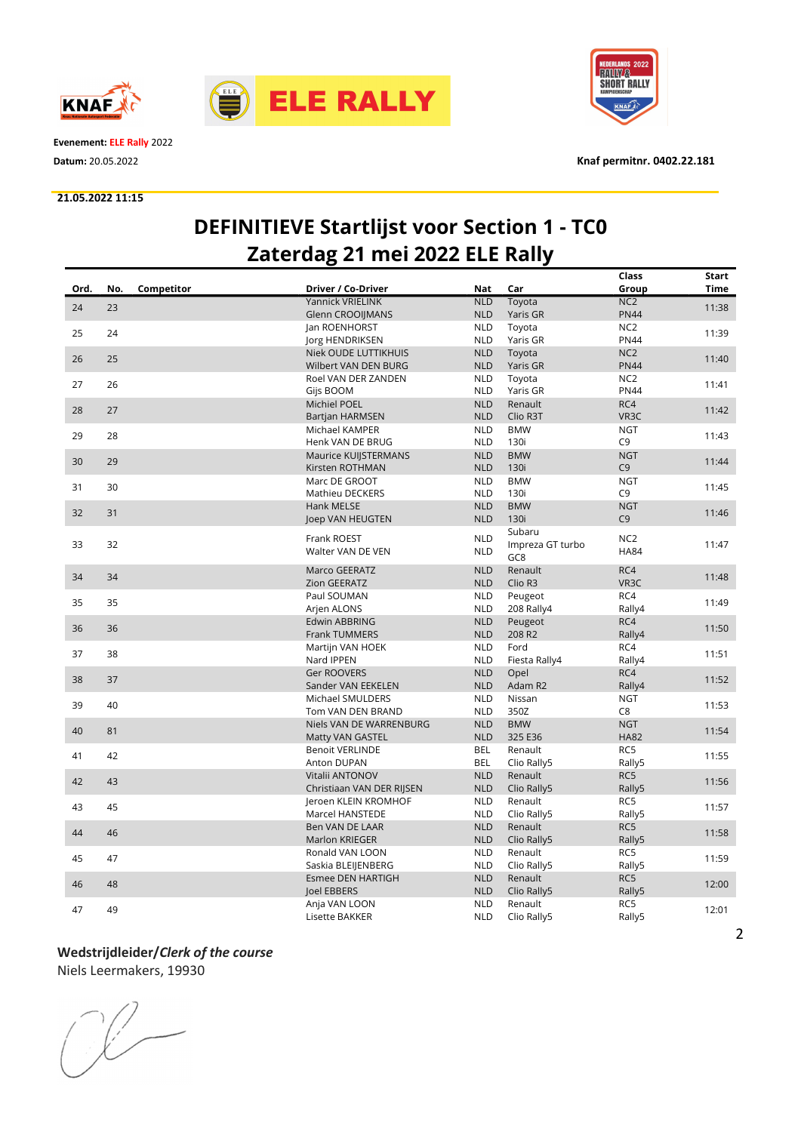



Evenement: ELE Rally 2022

#### 21.05.2022 11:15



Datum: 20.05.2022 Knaf permitnr. 0402.22.181

# DEFINITIEVE Startlijst voor Section 1 - TC0 Zaterdag 21 mei 2022 ELE Rally

|      |     |            |                             |            |                     | Class             | Start       |
|------|-----|------------|-----------------------------|------------|---------------------|-------------------|-------------|
| Ord. | No. | Competitor | Driver / Co-Driver          | <b>Nat</b> | Car                 | Group             | <b>Time</b> |
|      |     |            | Yannick VRIELINK            | <b>NLD</b> | Toyota              | NC <sub>2</sub>   |             |
| 24   | 23  |            | <b>Glenn CROOIIMANS</b>     | <b>NLD</b> | Yaris GR            | <b>PN44</b>       | 11:38       |
|      |     |            | Jan ROENHORST               | <b>NLD</b> | Toyota              | NC <sub>2</sub>   |             |
| 25   | 24  |            | Jorg HENDRIKSEN             | <b>NLD</b> | Yaris GR            | <b>PN44</b>       | 11:39       |
|      |     |            | <b>Niek OUDE LUTTIKHUIS</b> | <b>NLD</b> | Toyota              | NC <sub>2</sub>   |             |
| 26   | 25  |            | Wilbert VAN DEN BURG        | <b>NLD</b> | Yaris GR            | <b>PN44</b>       | 11:40       |
|      |     |            | Roel VAN DER ZANDEN         | <b>NLD</b> | Toyota              | NC <sub>2</sub>   |             |
| 27   | 26  |            | Gijs BOOM                   | <b>NLD</b> | Yaris GR            | <b>PN44</b>       | 11:41       |
|      |     |            | Michiel POEL                | <b>NLD</b> | Renault             | RC4               |             |
| 28   | 27  |            |                             |            |                     | VR3C              | 11:42       |
|      |     |            | Bartjan HARMSEN             | <b>NLD</b> | Clio R3T            |                   |             |
| 29   | 28  |            | Michael KAMPER              | <b>NLD</b> | <b>BMW</b>          | <b>NGT</b>        | 11:43       |
|      |     |            | Henk VAN DE BRUG            | <b>NLD</b> | 130i                | C <sub>9</sub>    |             |
| 30   | 29  |            | Maurice KUIJSTERMANS        | <b>NLD</b> | <b>BMW</b>          | <b>NGT</b>        | 11:44       |
|      |     |            | Kirsten ROTHMAN             | <b>NLD</b> | 130i                | C <sub>9</sub>    |             |
| 31   | 30  |            | Marc DE GROOT               | <b>NLD</b> | <b>BMW</b>          | <b>NGT</b>        | 11:45       |
|      |     |            | <b>Mathieu DECKERS</b>      | <b>NLD</b> | 130i                | C <sub>9</sub>    |             |
| 32   | 31  |            | <b>Hank MELSE</b>           | <b>NLD</b> | <b>BMW</b>          | <b>NGT</b>        | 11:46       |
|      |     |            | Joep VAN HEUGTEN            | <b>NLD</b> | 130i                | C <sub>9</sub>    |             |
|      |     |            |                             |            | Subaru              |                   |             |
| 33   | 32  |            | Frank ROEST                 | <b>NLD</b> | Impreza GT turbo    | NC <sub>2</sub>   | 11:47       |
|      |     |            | Walter VAN DE VEN           | <b>NLD</b> | GC8                 | <b>HA84</b>       |             |
|      |     |            | Marco GEERATZ               | <b>NLD</b> | Renault             | RC4               |             |
| 34   | 34  |            | Zion GEERATZ                | <b>NLD</b> | Clio R <sub>3</sub> | VR <sub>3</sub> C | 11:48       |
|      |     |            | Paul SOUMAN                 | <b>NLD</b> | Peugeot             | RC4               |             |
| 35   | 35  |            |                             | <b>NLD</b> | 208 Rally4          | Rally4            | 11:49       |
|      |     |            | Arjen ALONS                 |            |                     |                   |             |
| 36   | 36  |            | Edwin ABBRING               | <b>NLD</b> | Peugeot             | RC4               | 11:50       |
|      |     |            | <b>Frank TUMMERS</b>        | <b>NLD</b> | 208 R2              | Rally4            |             |
| 37   | 38  |            | Martijn VAN HOEK            | <b>NLD</b> | Ford                | RC4               | 11:51       |
|      |     |            | Nard IPPEN                  | <b>NLD</b> | Fiesta Rally4       | Rally4            |             |
| 38   | 37  |            | <b>Ger ROOVERS</b>          | <b>NLD</b> | Opel                | RC4               | 11:52       |
|      |     |            | Sander VAN EEKELEN          | <b>NLD</b> | Adam R2             | Rally4            |             |
| 39   | 40  |            | Michael SMULDERS            | <b>NLD</b> | Nissan              | <b>NGT</b>        | 11:53       |
|      |     |            | Tom VAN DEN BRAND           | <b>NLD</b> | 350Z                | C <sub>8</sub>    |             |
| 40   | 81  |            | Niels VAN DE WARRENBURG     | <b>NLD</b> | <b>BMW</b>          | <b>NGT</b>        | 11:54       |
|      |     |            | Matty VAN GASTEL            | <b>NLD</b> | 325 E36             | <b>HA82</b>       |             |
|      |     |            | <b>Benoit VERLINDE</b>      | <b>BEL</b> | Renault             | RC5               |             |
| 41   | 42  |            | Anton DUPAN                 | <b>BEL</b> | Clio Rally5         | Rally5            | 11:55       |
|      |     |            | Vitalii ANTONOV             | <b>NLD</b> | Renault             | RC5               |             |
| 42   | 43  |            | Christiaan VAN DER RIJSEN   | <b>NLD</b> | Clio Rally5         | Rally5            | 11:56       |
|      |     |            | Jeroen KLEIN KROMHOF        | <b>NLD</b> | Renault             | RC5               |             |
| 43   | 45  |            | Marcel HANSTEDE             | <b>NLD</b> | Clio Rally5         | Rally5            | 11:57       |
|      |     |            | Ben VAN DE LAAR             | <b>NLD</b> | Renault             | RC5               |             |
| 44   | 46  |            | <b>Marlon KRIEGER</b>       | <b>NLD</b> | Clio Rally5         | Rally5            | 11:58       |
|      |     |            |                             |            |                     |                   |             |
| 45   | 47  |            | Ronald VAN LOON             | <b>NLD</b> | Renault             | RC5               | 11:59       |
|      |     |            | Saskia BLEIJENBERG          | <b>NLD</b> | Clio Rally5         | Rally5            |             |
| 46   | 48  |            | <b>Esmee DEN HARTIGH</b>    | <b>NLD</b> | Renault             | RC5               | 12:00       |
|      |     |            | loel EBBERS                 | <b>NLD</b> | Clio Rally5         | Rally5            |             |
| 47   | 49  |            | Anja VAN LOON               | <b>NLD</b> | Renault             | RC5               | 12:01       |
|      |     |            | Lisette BAKKER              | <b>NLD</b> | Clio Rally5         | Rally5            |             |

### Wedstrijdleider/Clerk of the course

Niels Leermakers, 19930

 $\begin{picture}(220,20) \put(0,0){\line(1,0){10}} \put(15,0){\line(1,0){10}} \put(15,0){\line(1,0){10}} \put(15,0){\line(1,0){10}} \put(15,0){\line(1,0){10}} \put(15,0){\line(1,0){10}} \put(15,0){\line(1,0){10}} \put(15,0){\line(1,0){10}} \put(15,0){\line(1,0){10}} \put(15,0){\line(1,0){10}} \put(15,0){\line(1,0){10}} \put(15,0){\line($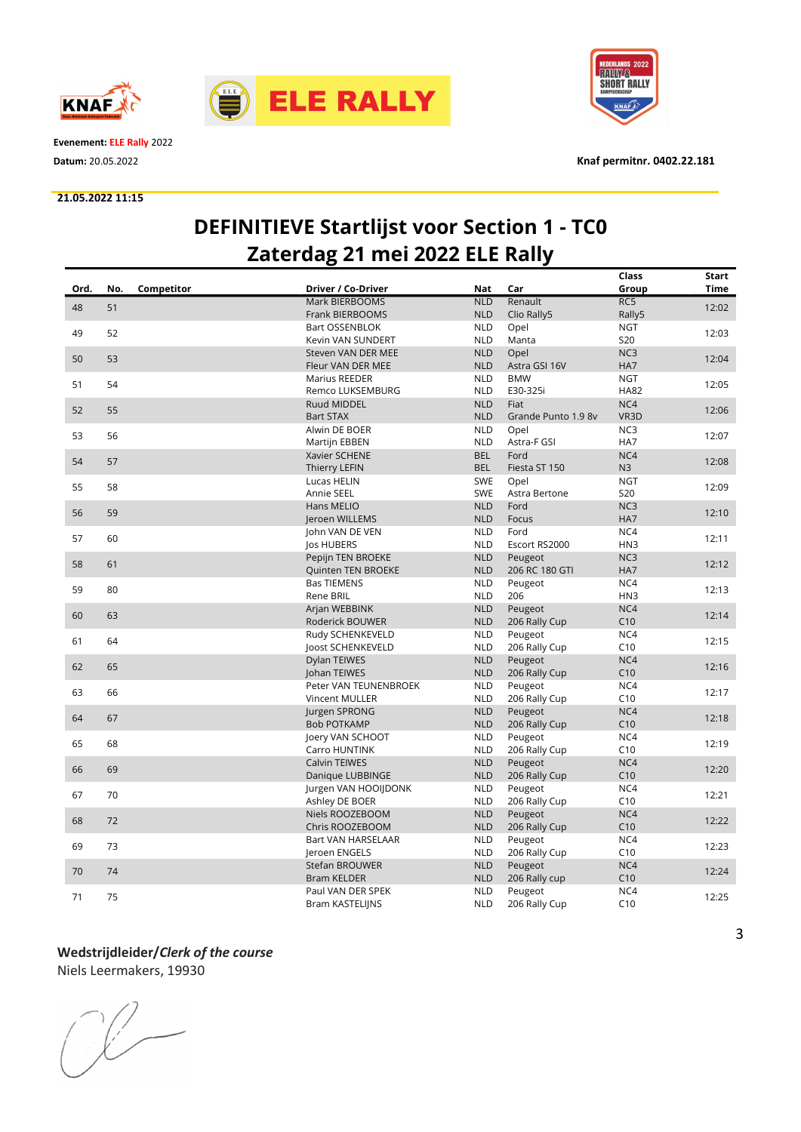



Evenement: ELE Rally 2022

#### 21.05.2022 11:15



Datum: 20.05.2022 Knaf permitnr. 0402.22.181

# DEFINITIEVE Startlijst voor Section 1 - TC0 Zaterdag 21 mei 2022 ELE Rally

|      |     |            |                        |            |                     | Class           | Start       |
|------|-----|------------|------------------------|------------|---------------------|-----------------|-------------|
| Ord. | No. | Competitor | Driver / Co-Driver     | Nat        | Car                 | Group           | <b>Time</b> |
|      |     |            | <b>Mark BIERBOOMS</b>  | <b>NLD</b> | Renault             | RC5             |             |
| 48   | 51  |            | <b>Frank BIERBOOMS</b> | <b>NLD</b> | Clio Rally5         | Rally5          | 12:02       |
|      |     |            | Bart OSSENBLOK         | <b>NLD</b> | Opel                | <b>NGT</b>      |             |
| 49   | 52  |            | Kevin VAN SUNDERT      | <b>NLD</b> | Manta               | <b>S20</b>      | 12:03       |
|      |     |            | Steven VAN DER MEE     | <b>NLD</b> | Opel                | NC3             |             |
| 50   | 53  |            | Fleur VAN DER MEE      | <b>NLD</b> | Astra GSI 16V       | HA7             | 12:04       |
|      |     |            | Marius REEDER          | <b>NLD</b> | <b>BMW</b>          | <b>NGT</b>      |             |
| 51   | 54  |            | Remco LUKSEMBURG       | <b>NLD</b> | E30-325i            | <b>HA82</b>     | 12:05       |
|      | 55  |            | <b>Ruud MIDDEL</b>     | <b>NLD</b> | Fiat                | NC4             |             |
| 52   |     |            | <b>Bart STAX</b>       | <b>NLD</b> | Grande Punto 1.9 8v | VR3D            | 12:06       |
|      |     |            | Alwin DE BOER          | <b>NLD</b> | Opel                | NC3             |             |
| 53   | 56  |            | Martijn EBBEN          | <b>NLD</b> | Astra-F GSI         | HA7             | 12:07       |
|      |     |            | Xavier SCHENE          | <b>BEL</b> | Ford                | NC4             |             |
| 54   | 57  |            | Thierry LEFIN          | <b>BEL</b> | Fiesta ST 150       | N3              | 12:08       |
|      |     |            | Lucas HELIN            | SWE        | Opel                | <b>NGT</b>      |             |
| 55   | 58  |            | Annie SEEL             | <b>SWE</b> | Astra Bertone       | <b>S20</b>      | 12:09       |
|      |     |            | Hans MELIO             | <b>NLD</b> | Ford                | NC <sub>3</sub> |             |
| 56   | 59  |            | Jeroen WILLEMS         | <b>NLD</b> | Focus               | HA7             | 12:10       |
|      |     |            | John VAN DE VEN        | <b>NLD</b> | Ford                | NC4             |             |
| 57   | 60  |            | Jos HUBERS             | <b>NLD</b> | Escort RS2000       | HN3             | 12:11       |
|      |     |            | Pepijn TEN BROEKE      | <b>NLD</b> | Peugeot             | NC <sub>3</sub> |             |
| 58   | 61  |            | Quinten TEN BROEKE     | <b>NLD</b> | 206 RC 180 GTI      | HA7             | 12:12       |
|      |     |            | <b>Bas TIEMENS</b>     | <b>NLD</b> | Peugeot             | NC4             |             |
| 59   | 80  |            | Rene BRIL              | <b>NLD</b> | 206                 | HN3             | 12:13       |
|      |     |            | Arjan WEBBINK          | <b>NLD</b> | Peugeot             | NC4             |             |
| 60   | 63  |            | Roderick BOUWER        | <b>NLD</b> | 206 Rally Cup       | C10             | 12:14       |
|      |     |            | Rudy SCHENKEVELD       | <b>NLD</b> | Peugeot             | NC4             |             |
| 61   | 64  |            | loost SCHENKEVELD      | <b>NLD</b> | 206 Rally Cup       | C10             | 12:15       |
|      |     |            | Dylan TEIWES           | <b>NLD</b> | Peugeot             | NC4             |             |
| 62   | 65  |            | Johan TEIWES           | <b>NLD</b> | 206 Rally Cup       | C10             | 12:16       |
|      |     |            | Peter VAN TEUNENBROEK  | <b>NLD</b> | Peugeot             | NC4             |             |
| 63   | 66  |            | <b>Vincent MULLER</b>  | <b>NLD</b> | 206 Rally Cup       | C10             | 12:17       |
|      |     |            | Jurgen SPRONG          | <b>NLD</b> | Peugeot             | NC4             |             |
| 64   | 67  |            | <b>Bob POTKAMP</b>     | <b>NLD</b> | 206 Rally Cup       | C10             | 12:18       |
|      |     |            | Joery VAN SCHOOT       | <b>NLD</b> | Peugeot             | NC4             |             |
| 65   | 68  |            | Carro HUNTINK          | <b>NLD</b> | 206 Rally Cup       | C10             | 12:19       |
|      |     |            | <b>Calvin TEIWES</b>   | <b>NLD</b> | Peugeot             | NC4             |             |
| 66   | 69  |            | Danique LUBBINGE       | <b>NLD</b> | 206 Rally Cup       | C10             | 12:20       |
|      |     |            | Jurgen VAN HOOIJDONK   | <b>NLD</b> | Peugeot             | NC4             |             |
| 67   | 70  |            | Ashley DE BOER         | <b>NLD</b> | 206 Rally Cup       | C10             | 12:21       |
|      |     |            | Niels ROOZEBOOM        | <b>NLD</b> | Peugeot             | NC4             |             |
| 68   | 72  |            | Chris ROOZEBOOM        | <b>NLD</b> | 206 Rally Cup       | C10             | 12:22       |
|      |     |            | Bart VAN HARSELAAR     | <b>NLD</b> | Peugeot             | NC4             |             |
| 69   | 73  |            | Jeroen ENGELS          | <b>NLD</b> | 206 Rally Cup       | C10             | 12:23       |
|      |     |            | Stefan BROUWER         | <b>NLD</b> | Peugeot             | NC4             |             |
| 70   | 74  |            | <b>Bram KELDER</b>     | <b>NLD</b> | 206 Rally cup       | C10             | 12:24       |
|      |     |            | Paul VAN DER SPEK      | <b>NLD</b> | Peugeot             | NC4             |             |
| 71   | 75  |            | Bram KASTELIJNS        | <b>NLD</b> | 206 Rally Cup       | C10             | 12:25       |

# Wedstrijdleider/Clerk of the course

Niels Leermakers, 19930

 $\begin{picture}(220,20) \put(0,0){\line(1,0){10}} \put(15,0){\line(1,0){10}} \put(15,0){\line(1,0){10}} \put(15,0){\line(1,0){10}} \put(15,0){\line(1,0){10}} \put(15,0){\line(1,0){10}} \put(15,0){\line(1,0){10}} \put(15,0){\line(1,0){10}} \put(15,0){\line(1,0){10}} \put(15,0){\line(1,0){10}} \put(15,0){\line(1,0){10}} \put(15,0){\line($